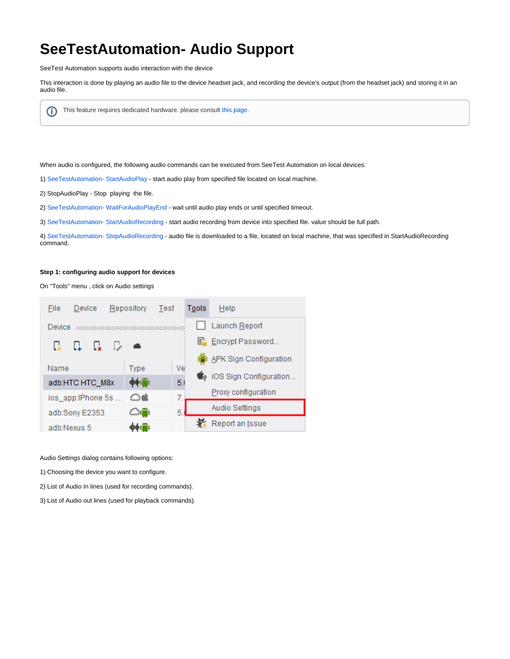# **SeeTestAutomation- Audio Support**

SeeTest Automation supports audio interaction with the device

This interaction is done by playing an audio file to the device headset jack, and recording the device's output (from the headset jack) and storing it in an audio file.

This feature requires dedicated hardware. please consult [this page](https://docs.experitest.com/display/TDB/SeeTestAutomation-+Setting+up+audio+hardware).ന

When audio is configured, the following audio commands can be executed from SeeTest Automation on local devices:

- 1) [SeeTestAutomation- StartAudioPlay](https://docs.experitest.com/display/TDB/SeeTestAutomation-+StartAudioPlay)  start audio play from specified file located on local machine.
- 2) StopAudioPlay Stop playing the file.
- 2) [SeeTestAutomation- WaitForAudioPlayEnd](https://docs.experitest.com/display/TDB/SeeTestAutomation-+WaitForAudioPlayEnd)  wait until audio play ends or until specified timeout.
- 3) [SeeTestAutomation- StartAudioRecording](https://docs.experitest.com/display/TDB/SeeTestAutomation-+StartAudioRecording) start audio recording from device into specified file. value should be full path.

4) [SeeTestAutomation- StopAudioRecording](https://docs.experitest.com/display/TDB/SeeTestAutomation-+StopAudioRecording) - audio file is downloaded to a file, located on local machine, that was specified in StartAudioRecording command.

#### **Step 1: configuring audio support for devices**

On "Tools" menu , click on Audio settings



Audio Settings dialog contains following options:

- 1) Choosing the device you want to configure.
- 2) List of Audio In lines (used for recording commands).
- 3) List of Audio out lines (used for playback commands).